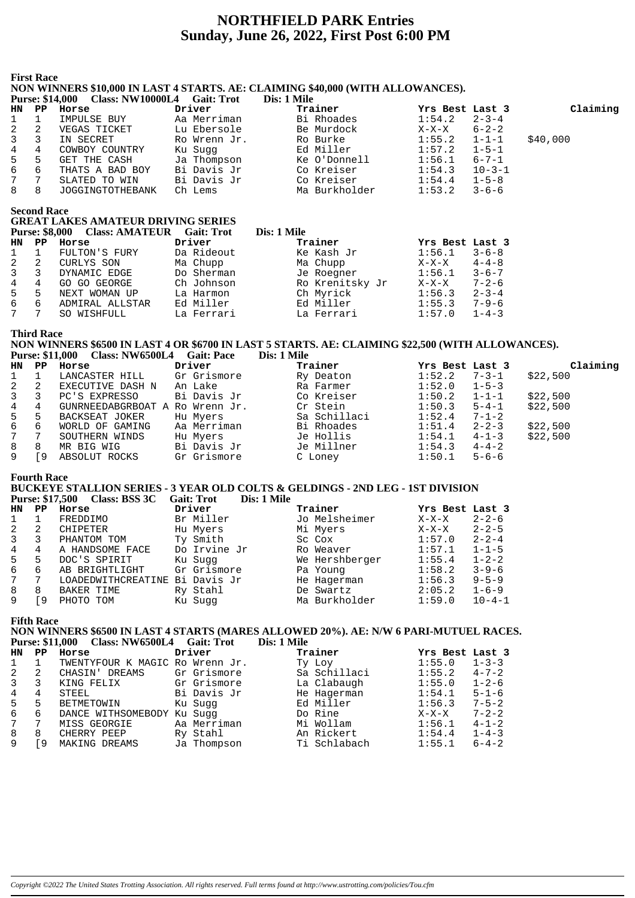# **NORTHFIELD PARK Entries Sunday, June 26, 2022, First Post 6:00 PM**

#### **First Race**

## **NON WINNERS \$10,000 IN LAST 4 STARTS. AE: CLAIMING \$40,000 (WITH ALLOWANCES).**

|              |    | <b>Purse: \$14,000 Class: NW10000L4</b> | <b>Gait: Trot</b> | Dis: 1 Mile   |                 |              |          |
|--------------|----|-----------------------------------------|-------------------|---------------|-----------------|--------------|----------|
| HN PP        |    | Horse                                   | Driver            | Trainer       | Yrs Best Last 3 |              | Claiming |
| $\mathbf{1}$ |    | IMPULSE BUY                             | Aa Merriman       | Bi Rhoades    | 1:54.2          | $2 - 3 - 4$  |          |
| 2            | 2  | VEGAS TICKET                            | Lu Ebersole       | Be Murdock    | $X-X-X$         | $6 - 2 - 2$  |          |
| 3            |    | IN SECRET                               | Ro Wrenn Jr.      | Ro Burke      | 1:55.2          | $1 - 1 - 1$  | \$40,000 |
| 4            | 4  | COWBOY COUNTRY                          | Ku Suqq           | Ed Miller     | 1:57.2          | $1 - 5 - 1$  |          |
| 5            | 5  | GET THE CASH                            | Ja Thompson       | Ke O'Donnell  | 1:56.1          | $6 - 7 - 1$  |          |
| 6            | 6  | THATS A BAD BOY                         | Bi Davis Jr       | Co Kreiser    | 1:54.3          | $10 - 3 - 1$ |          |
| 7            | -7 | SLATED TO WIN                           | Bi Davis Jr       | Co Kreiser    | 1:54.4          | $1 - 5 - 8$  |          |
| 8            | 8  | JOGGINGTOTHEBANK                        | Ch Lems           | Ma Burkholder | 1:53.2          | $3 - 6 - 6$  |          |

**Second Race**

## **GREAT LAKES AMATEUR DRIVING SERIES**

|                |   | Purse: \$8,000 Class: AMATEUR Gait: Trot |            | Dis: 1 Mile     |                 |             |
|----------------|---|------------------------------------------|------------|-----------------|-----------------|-------------|
| HN PP          |   | Horse                                    | Driver     | Trainer         | Yrs Best Last 3 |             |
| $1 \quad 1$    |   | FULTON'S FURY                            | Da Rideout | Ke Kash Jr      | 1:56.1          | $3 - 6 - 8$ |
| $\overline{2}$ | 2 | CURLYS SON                               | Ma Chupp   | Ma Chupp        | $X-X-X$         | $4 - 4 - 8$ |
| $\mathbf{3}$   |   | DYNAMIC EDGE                             | Do Sherman | Je Roegner      | 1:56.1          | $3 - 6 - 7$ |
| $\overline{4}$ | 4 | GO GO GEORGE                             | Ch Johnson | Ro Krenitsky Jr | $X-X-X$         | $7 - 2 - 6$ |
| 5              | 5 | NEXT WOMAN UP                            | La Harmon  | Ch Myrick       | 1:56.3          | $2 - 3 - 4$ |
| 6              | 6 | ADMIRAL ALLSTAR                          | Ed Miller  | Ed Miller       | 1:55.3          | $7 - 9 - 6$ |
| 7              | 7 | SO WISHFULL                              | La Ferrari | La Ferrari      | 1:57.0          | $1 - 4 - 3$ |

**Third Race**

## **NON WINNERS \$6500 IN LAST 4 OR \$6700 IN LAST 5 STARTS. AE: CLAIMING \$22,500 (WITH ALLOWANCES). Purse: \$11,000 Class: NW6500L4 Gait: Pace Dis: 1 Mile**

| Claiming<br>Yrs Best Last 3 |
|-----------------------------|
| $1:52.2$ 7-3-1 \$22,500     |
|                             |
| $1:50.2$ $1-1-1$ $$22,500$  |
| $1:50.3$ $5-4-1$ \$22,500   |
|                             |
| \$22,500                    |
| $1:54.1$ $4-1-3$ \$22,500   |
|                             |
|                             |
|                             |

#### **Fourth Race**

## **BUCKEYE STALLION SERIES - 3 YEAR OLD COLTS & GELDINGS - 2ND LEG - 1ST DIVISION**

**Purse: \$17,500 Class: BSS 3C Gait: Trot Dis: 1 Mile**

| HN           | PP | Horse              | Driver       | Trainer        | Yrs Best Last 3 |              |
|--------------|----|--------------------|--------------|----------------|-----------------|--------------|
|              |    | FREDDIMO           | Br Miller    | Jo Melsheimer  | $X-X-X$         | $2 - 2 - 6$  |
| 2            | 2  | CHIPETER           | Hu Myers     | Mi Myers       | $X-X-X$         | $2 - 2 - 5$  |
| $\mathbf{3}$ | 3  | PHANTOM TOM        | Ty Smith     | Sc Cox         | 1:57.0          | $2 - 2 - 4$  |
| 4            | 4  | A HANDSOME FACE    | Do Irvine Jr | Ro Weaver      | 1:57.1          | $1 - 1 - 5$  |
| 5            | 5  | DOC'S SPIRIT       | Ku Sugg      | We Hershberger | 1:55.4          | $1 - 2 - 2$  |
| 6            | 6  | AB BRIGHTLIGHT     | Gr Grismore  | Pa Young       | 1:58.2          | $3 - 9 - 6$  |
| $7^{\circ}$  | 7  | LOADEDWITHCREATINE | Bi Davis Jr  | He Hagerman    | 1:56.3          | $9 - 5 - 9$  |
| 8            | 8  | BAKER TIME         | Ry Stahl     | De Swartz      | 2:05.2          | $1 - 6 - 9$  |
| 9            | 9  | PHOTO TOM          | Ku Sugg      | Ma Burkholder  | 1:59.0          | $10 - 4 - 1$ |

## **Fifth Race**

## **NON WINNERS \$6500 IN LAST 4 STARTS (MARES ALLOWED 20%). AE: N/W 6 PARI-MUTUEL RACES. Purse: \$11,000 Class: NW6500L4 Gait: Trot**

|     |             | Turst. VII.000 CRSS. IVIOVOUT QUIL ITOL |             | <i>DIS. 1 DIR</i> |                 |             |
|-----|-------------|-----------------------------------------|-------------|-------------------|-----------------|-------------|
| HN. | $_{\rm PP}$ | Horse                                   | Driver      | Trainer           | Yrs Best Last 3 |             |
|     |             | TWENTYFOUR K MAGIC Ro Wrenn Jr.         |             | Ty Loy            | 1:55.0          | $1 - 3 - 3$ |
|     | 2           | CHASIN' DREAMS                          | Gr Grismore | Sa Schillaci      | 1:55.2          | $4 - 7 - 2$ |
| 3   |             | KING FELIX                              | Gr Grismore | La Clabaugh       | 1:55.0          | $1 - 2 - 6$ |
| 4   | 4           | STEEL                                   | Bi Davis Jr | He Hagerman       | 1:54.1          | $5 - 1 - 6$ |
| 5   | 5           | BETMETOWIN                              | Ku Sugg     | Ed Miller         | 1:56.3          | $7 - 5 - 2$ |
| 6   | 6           | DANCE WITHSOMEBODY                      | Ku Suqq     | Do Rine           | $X-X-X$         | $7 - 2 - 2$ |
|     | 7           | MISS GEORGIE                            | Aa Merriman | Mi Wollam         | 1:56.1          | $4 - 1 - 2$ |
| 8   | 8           | CHERRY PEEP                             | Ry Stahl    | An Rickert        | 1:54.4          | $1 - 4 - 3$ |
|     | 9           | MAKING DREAMS                           | Ja Thompson | Ti Schlabach      | 1:55.1          | $6 - 4 - 2$ |
|     |             |                                         |             |                   |                 |             |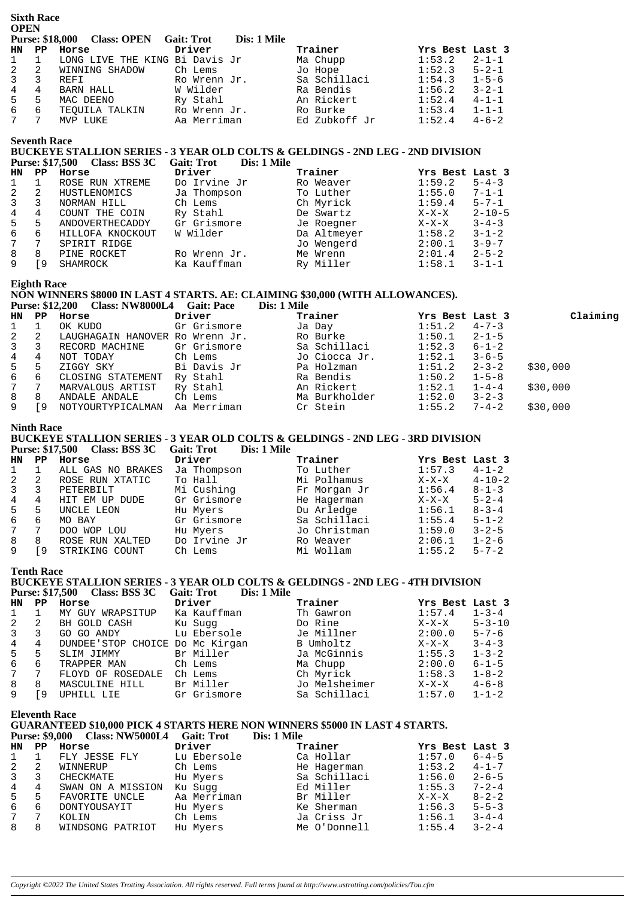|                | <b>OPEN</b>         |                                |                   |             |               |                 |             |  |  |
|----------------|---------------------|--------------------------------|-------------------|-------------|---------------|-----------------|-------------|--|--|
|                |                     | Purse: \$18,000 Class: OPEN    | <b>Gait: Trot</b> | Dis: 1 Mile |               |                 |             |  |  |
| HN             | PP                  | Horse                          | Driver            |             | Trainer       | Yrs Best Last 3 |             |  |  |
| $\mathbf{1}$   |                     | LONG LIVE THE KING Bi Davis Jr |                   |             | Ma Chupp      | 1:53.2          | $2 - 1 - 1$ |  |  |
| 2              | 2                   | WINNING SHADOW                 | Ch Lems           |             | Jo Hope       | 1:52.3          | $5 - 2 - 1$ |  |  |
| $\overline{3}$ | 3                   | REFI                           | Ro Wrenn Jr.      |             | Sa Schillaci  | 1:54.3          | $1 - 5 - 6$ |  |  |
| 4              | 4                   | BARN HALL                      | W Wilder          |             | Ra Bendis     | 1:56.2          | $3 - 2 - 1$ |  |  |
| 5              | 5                   | MAC DEENO                      | Ry Stahl          |             | An Rickert    | 1:52.4          | $4 - 1 - 1$ |  |  |
| 6              | 6                   | TEOUILA TALKIN                 | Ro Wrenn Jr.      |             | Ro Burke      | 1:53.4          | $1 - 1 - 1$ |  |  |
| 7              | 7                   | MVP LUKE                       | Aa Merriman       |             | Ed Zubkoff Jr | 1:52.4          | $4 - 6 - 2$ |  |  |
|                | <b>Seventh Race</b> |                                |                   |             |               |                 |             |  |  |

## **BUCKEYE STALLION SERIES - 3 YEAR OLD COLTS & GELDINGS - 2ND LEG - 2ND DIVISION Purse: \$17,500 Class: BSS 3C Gait: Trot Dis: 1 Mile**

| <b>HN</b> | PP | Horse            | Driver       | Trainer     | Yrs Best Last 3 |              |
|-----------|----|------------------|--------------|-------------|-----------------|--------------|
|           |    | ROSE RUN XTREME  | Do Irvine Jr | Ro Weaver   | 1:59.2          | $5 - 4 - 3$  |
|           | -2 | HUSTLENOMICS     | Ja Thompson  | To Luther   | 1:55.0          | $7 - 1 - 1$  |
| 3         |    | NORMAN HILL      | Ch Lems      | Ch Myrick   | 1:59.4          | $5 - 7 - 1$  |
| 4         | 4  | COUNT THE COIN   | Ry Stahl     | De Swartz   | $X-X-X$         | $2 - 10 - 5$ |
| 5         | 5  | ANDOVERTHECADDY  | Gr Grismore  | Je Roegner  | $X-X-X$         | $3 - 4 - 3$  |
| 6         | 6  | HILLOFA KNOCKOUT | W Wilder     | Da Altmeyer | 1:58.2          | $3 - 1 - 2$  |
|           | 7  | SPIRIT RIDGE     |              | Jo Wengerd  | 2:00.1          | $3 - 9 - 7$  |
| 8         | 8  | PINE ROCKET      | Ro Wrenn Jr. | Me Wrenn    | 2:01.4          | $2 - 5 - 2$  |
|           | 9  | SHAMROCK         | Ka Kauffman  | Ry Miller   | 1:58.1          | $3 - 1 - 1$  |

**Eighth Race**

**Sixth Race**

## **NON WINNERS \$8000 IN LAST 4 STARTS. AE: CLAIMING \$30,000 (WITH ALLOWANCES).**

|                 |    | <b>Purse: \$12,200 Class: NW8000L4</b> | <b>Gait: Pace</b> | Dis: 1 Mile   |                 |             |          |
|-----------------|----|----------------------------------------|-------------------|---------------|-----------------|-------------|----------|
| HN PP           |    | Horse                                  | Driver            | Trainer       | Yrs Best Last 3 |             | Claiming |
|                 |    | OK KUDO                                | Gr Grismore       | Ja Day        | 1:51.2          | $4 - 7 - 3$ |          |
| $\mathbf{2}$    | -2 | LAUGHAGAIN HANOVER Ro Wrenn Jr.        |                   | Ro Burke      | 1:50.1          | $2 - 1 - 5$ |          |
| $3^{\circ}$     |    | RECORD MACHINE                         | Gr Grismore       | Sa Schillaci  | 1:52.3          | $6 - 1 - 2$ |          |
| 4               | 4  | NOT TODAY                              | Ch Lems           | Jo Ciocca Jr. | 1:52.1          | $3 - 6 - 5$ |          |
| 5 <sub>1</sub>  | 5  | ZIGGY SKY                              | Bi Davis Jr       | Pa Holzman    | 1:51.2          | $2 - 3 - 2$ | \$30,000 |
| 6               | 6  | CLOSING STATEMENT                      | Ry Stahl          | Ra Bendis     | 1:50.2          | $1 - 5 - 8$ |          |
| $7\overline{ }$ |    | MARVALOUS ARTIST                       | Ry Stahl          | An Rickert    | 1:52.1          | $1 - 4 - 4$ | \$30,000 |
| 8               | 8  | ANDALE ANDALE                          | Ch Lems           | Ma Burkholder | 1:52.0          | $3 - 2 - 3$ |          |
| 9               | -9 | NOTYOURTYPICALMAN                      | Aa Merriman       | Cr Stein      | 1:55.2          | $7 - 4 - 2$ | \$30,000 |

## **Ninth Race**

## **BUCKEYE STALLION SERIES - 3 YEAR OLD COLTS & GELDINGS - 2ND LEG - 3RD DIVISION**

|                |             | Purse: \$17,500 Class: BSS 3C Gait: Trot |              | Dis: 1 Mile  |                 |              |
|----------------|-------------|------------------------------------------|--------------|--------------|-----------------|--------------|
| <b>HN</b>      | $_{\rm PP}$ | Horse                                    | Driver       | Trainer      | Yrs Best Last 3 |              |
|                |             | ALL GAS NO BRAKES                        | Ja Thompson  | To Luther    | 1:57.3          | $4 - 1 - 2$  |
| 2              | 2           | ROSE RUN XTATIC                          | To Hall      | Mi Polhamus  | $X-X-X$         | $4 - 10 - 2$ |
| $\mathbf{3}$   | 3           | PETERBILT                                | Mi Cushing   | Fr Morgan Jr | 1:56.4          | $8 - 1 - 3$  |
| 4              | 4           | HIT EM UP DUDE                           | Gr Grismore  | He Hagerman  | $X-X-X$         | $5 - 2 - 4$  |
| 5 <sup>1</sup> | 5           | UNCLE LEON                               | Hu Myers     | Du Arledge   | 1:56.1          | $8 - 3 - 4$  |
| 6              | 6           | MO BAY                                   | Gr Grismore  | Sa Schillaci | 1:55.4          | $5 - 1 - 2$  |
| $7\phantom{0}$ | 7           | DOO WOP LOU                              | Hu Myers     | Jo Christman | 1:59.0          | $3 - 2 - 5$  |
| 8              | 8           | ROSE RUN XALTED                          | Do Irvine Jr | Ro Weaver    | 2:06.1          | $1 - 2 - 6$  |
| 9              | 9           | STRIKING COUNT                           | Ch Lems      | Mi Wollam    | 1:55.2          | $5 - 7 - 2$  |

**Tenth Race**

## **BUCKEYE STALLION SERIES - 3 YEAR OLD COLTS & GELDINGS - 2ND LEG - 4TH DIVISION Purse: \$17,500 Class: BSS 3C Gait: Trot Dis: 1 Mile**

| HN             | PP | Horse                           | Driver      | Trainer       | Yrs Best Last 3 |              |
|----------------|----|---------------------------------|-------------|---------------|-----------------|--------------|
|                |    | MY GUY WRAPSITUP                | Ka Kauffman | Th Gawron     | 1:57.4          | $1 - 3 - 4$  |
|                | 2  | BH GOLD CASH                    | Ku Sugg     | Do Rine       | $X-X-X$         | $5 - 3 - 10$ |
| $\overline{3}$ |    | GO GO ANDY                      | Lu Ebersole | Je Millner    | 2:00.0          | $5 - 7 - 6$  |
| 4              | 4  | DUNDEE'STOP CHOICE Do Mc Kirgan |             | B Umholtz     | $X-X-X$         | $3 - 4 - 3$  |
| 5              | 5  | SLIM JIMMY                      | Br Miller   | Ja McGinnis   | 1:55.3          | $1 - 3 - 2$  |
| 6              | 6  | TRAPPER MAN                     | Ch Lems     | Ma Chupp      | 2:00.0          | $6 - 1 - 5$  |
|                | 7  | FLOYD OF ROSEDALE               | Ch Lems     | Ch Myrick     | 1:58.3          | $1 - 8 - 2$  |
| 8              | 8  | MASCULINE HILL                  | Br Miller   | Jo Melsheimer | $X-X-X$         | $4 - 6 - 8$  |
|                | q  | UPHILL LIE                      | Gr Grismore | Sa Schillaci  | 1:57.0          | $1 - 1 - 2$  |

**Eleventh Race**

## **GUARANTEED \$10,000 PICK 4 STARTS HERE NON WINNERS \$5000 IN LAST 4 STARTS.**

|              |    | <b>Purse: \$9,000 Class: NW5000L4</b> | <b>Gait: Trot</b> | Dis: 1 Mile  |                 |             |
|--------------|----|---------------------------------------|-------------------|--------------|-----------------|-------------|
| <b>HN</b>    | PP | Horse                                 | Driver            | Trainer      | Yrs Best Last 3 |             |
| $\mathbf{1}$ |    | FLY JESSE FLY                         | Lu Ebersole       | Ca Hollar    | 1:57.0          | $6 - 4 - 5$ |
| 2            | 2  | WINNERUP                              | Ch Lems           | He Hagerman  | 1:53.2          | $4 - 1 - 7$ |
| 3            | 3  | CHECKMATE                             | Hu Myers          | Sa Schillaci | 1:56.0          | $2 - 6 - 5$ |
| 4            | 4  | SWAN ON A MISSION                     | Ku Sugg           | Ed Miller    | 1:55.3          | $7 - 2 - 4$ |
| 5            | 5  | FAVORITE UNCLE                        | Aa Merriman       | Br Miller    | $X-X-X$         | $8 - 2 - 2$ |
| 6            | 6  | DONTYOUSAYIT                          | Hu Myers          | Ke Sherman   | 1:56.3          | $5 - 5 - 3$ |
| 7            | 7  | KOLIN                                 | Ch Lems           | Ja Criss Jr  | 1:56.1          | $3 - 4 - 4$ |
| 8            | 8  | WINDSONG PATRIOT                      | Hu Myers          | Me O'Donnell | 1:55.4          | $3 - 2 - 4$ |